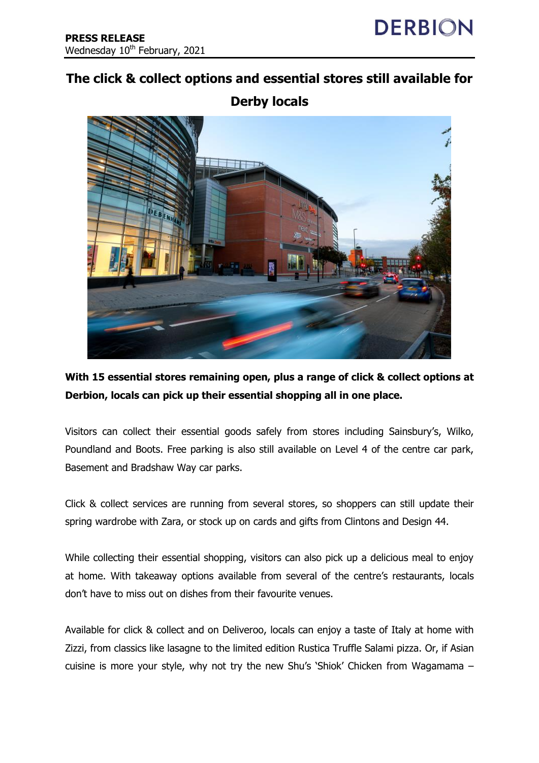

## **The click & collect options and essential stores still available for**



**With 15 essential stores remaining open, plus a range of click & collect options at Derbion, locals can pick up their essential shopping all in one place.**

Visitors can collect their essential goods safely from stores including Sainsbury's, Wilko, Poundland and Boots. Free parking is also still available on Level 4 of the centre car park, Basement and Bradshaw Way car parks.

Click & collect services are running from several stores, so shoppers can still update their spring wardrobe with Zara, or stock up on cards and gifts from Clintons and Design 44.

While collecting their essential shopping, visitors can also pick up a delicious meal to enjoy at home. With takeaway options available from several of the centre's restaurants, locals don't have to miss out on dishes from their favourite venues.

Available for click & collect and on Deliveroo, locals can enjoy a taste of Italy at home with Zizzi, from classics like lasagne to the limited edition Rustica Truffle Salami pizza. Or, if Asian cuisine is more your style, why not try the new Shu's 'Shiok' Chicken from Wagamama –

## **Derby locals**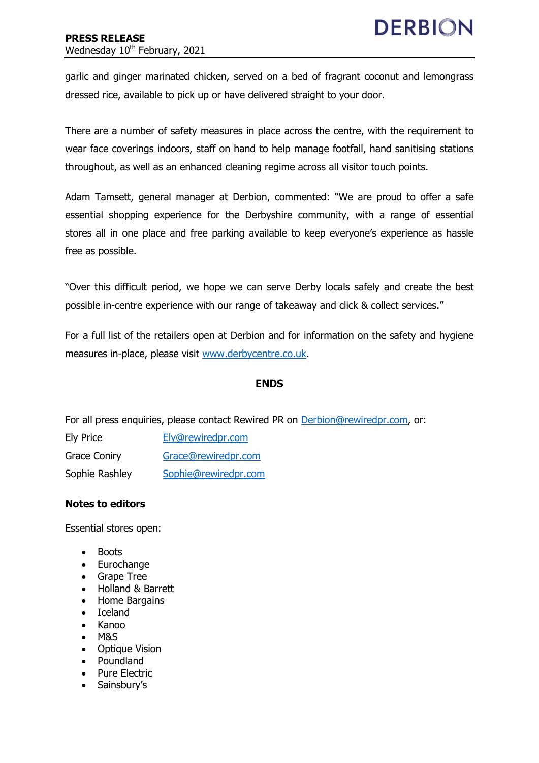garlic and ginger marinated chicken, served on a bed of fragrant coconut and lemongrass dressed rice, available to pick up or have delivered straight to your door.

There are a number of safety measures in place across the centre, with the requirement to wear face coverings indoors, staff on hand to help manage footfall, hand sanitising stations throughout, as well as an enhanced cleaning regime across all visitor touch points.

Adam Tamsett, general manager at Derbion, commented: "We are proud to offer a safe essential shopping experience for the Derbyshire community, with a range of essential stores all in one place and free parking available to keep everyone's experience as hassle free as possible.

"Over this difficult period, we hope we can serve Derby locals safely and create the best possible in-centre experience with our range of takeaway and click & collect services."

For a full list of the retailers open at Derbion and for information on the safety and hygiene measures in-place, please visit [www.derbycentre.co.uk.](file:///C:/Users/User/AppData/Local/Microsoft/Windows/INetCache/Content.Outlook/3NBK1DRL/www.derbycentre.co.uk)

## **ENDS**

For all press enquiries, please contact Rewired PR on [Derbion@rewiredpr.com,](mailto:Derbion@rewiredpr.com) or:

| <b>Ely Price</b>    | Ely@rewiredpr.com    |
|---------------------|----------------------|
| <b>Grace Coniry</b> | Grace@rewiredpr.com  |
| Sophie Rashley      | Sophie@rewiredpr.com |

## **Notes to editors**

Essential stores open:

- **Boots**
- Eurochange
- Grape Tree
- Holland & Barrett
- Home Bargains
- Iceland
- Kanoo
- **M&S**
- Optique Vision
- Poundland
- Pure Electric
- Sainsbury's